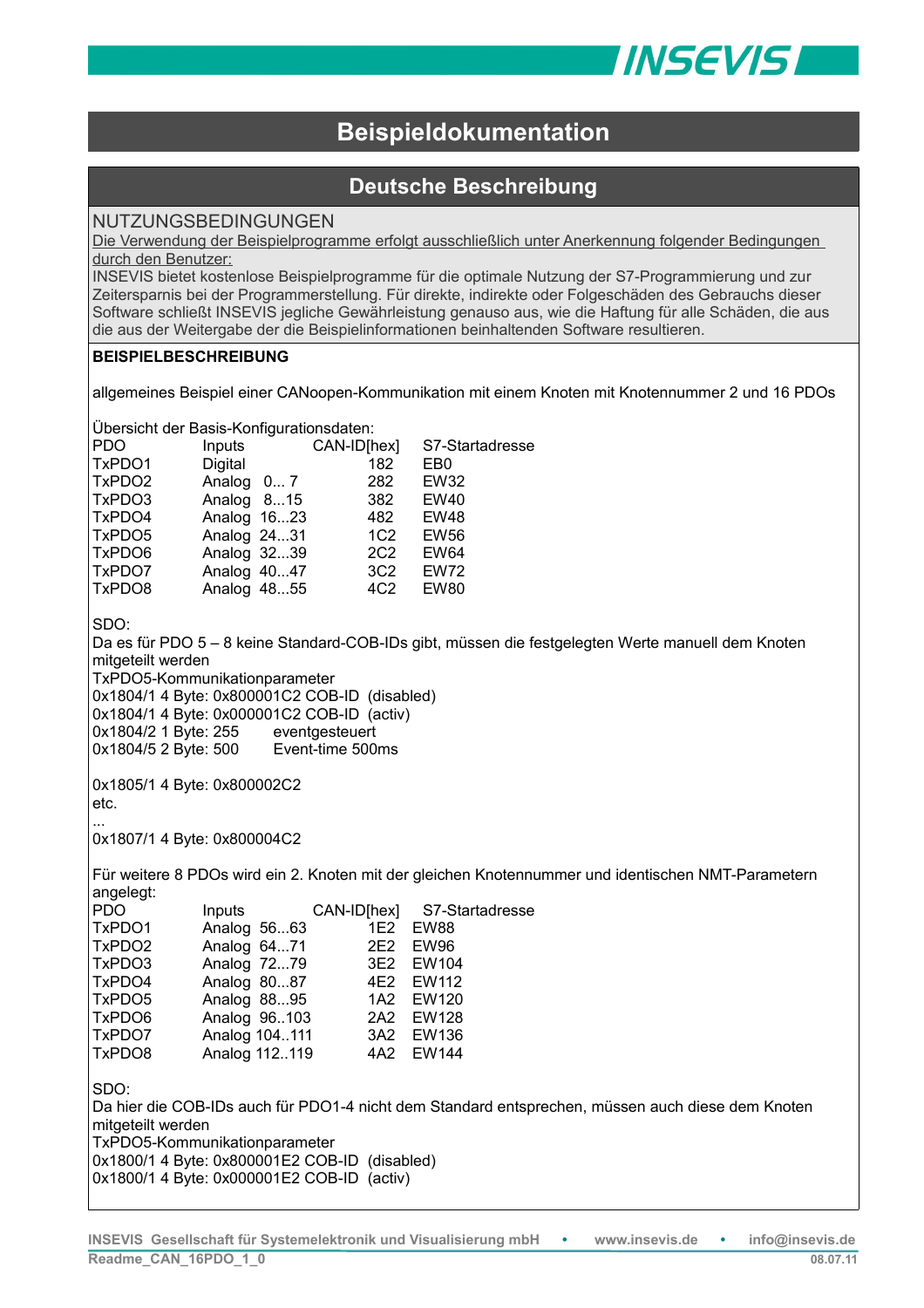

# **Beispieldokumentation**

## **Deutsche Beschreibung**

### NUTZUNGSBEDINGUNGEN

Die Verwendung der Beispielprogramme erfolgt ausschließlich unter Anerkennung folgender Bedingungen durch den Benutzer:

INSEVIS bietet kostenlose Beispielprogramme für die optimale Nutzung der S7-Programmierung und zur Zeitersparnis bei der Programmerstellung. Für direkte, indirekte oder Folgeschäden des Gebrauchs dieser Software schließt INSEVIS jegliche Gewährleistung genauso aus, wie die Haftung für alle Schäden, die aus die aus der Weitergabe der die Beispielinformationen beinhaltenden Software resultieren.

#### **BEISPIELBESCHREIBUNG**

allgemeines Beispiel einer CANoopen-Kommunikation mit einem Knoten mit Knotennummer 2 und 16 PDOs

Übersicht der Basis-Konfigurationsdaten:

| PDO    | Inputs      | CAN-ID[hex]     | S7-Startadresse |
|--------|-------------|-----------------|-----------------|
| TxPDO1 | Digital     | 182             | EB <sub>0</sub> |
| TxPDO2 | Analog 0 7  | 282             | <b>EW32</b>     |
| TxPDO3 | Analog 815  | 382             | <b>EW40</b>     |
| TxPDO4 | Analog 1623 | 482             | <b>EW48</b>     |
| TxPDO5 | Analog 2431 | 1C <sub>2</sub> | <b>EW56</b>     |
| TxPDO6 | Analog 3239 | 2C <sub>2</sub> | <b>EW64</b>     |
| TxPDO7 | Analog 4047 | 3C <sub>2</sub> | <b>EW72</b>     |
| TxPDO8 | Analog 4855 | 4C <sub>2</sub> | <b>EW80</b>     |
|        |             |                 |                 |

SDO:

Da es für PDO 5 – 8 keine Standard-COB-IDs gibt, müssen die festgelegten Werte manuell dem Knoten mitgeteilt werden

TxPDO5-Kommunikationparameter

0x1804/1 4 Byte: 0x800001C2 COB-ID (disabled)

0x1804/1 4 Byte: 0x000001C2 COB-ID (activ) 0x1804/2 1 Byte: 255 eventgesteuert

0x1804/5 2 Byte: 500 Event-time 500ms

0x1805/1 4 Byte: 0x800002C2 etc.

... 0x1807/1 4 Byte: 0x800004C2

Für weitere 8 PDOs wird ein 2. Knoten mit der gleichen Knotennummer und identischen NMT-Parametern angelegt:

| <b>PDO</b> | Inputs        |     | CAN-ID[hex] S7-Startadresse |  |
|------------|---------------|-----|-----------------------------|--|
| TxPDO1     | Analog 5663   |     | 1E2 EW88                    |  |
| TxPDO2     | Analog 6471   | 2E2 | <b>EW96</b>                 |  |
| TxPDO3     | Analog 7279   |     | 3E2 EW104                   |  |
| TxPDO4     | Analog 8087   |     | 4E2 EW112                   |  |
| TxPDO5     | Analog 8895   |     | 1A2 EW120                   |  |
| TxPDO6     | Analog 96.103 |     | 2A2 EW128                   |  |
| TxPDO7     | Analog 104111 |     | 3A2 EW136                   |  |
| TxPDO8     | Analog 112119 |     | 4A2 EW144                   |  |
|            |               |     |                             |  |
| CDO.       |               |     |                             |  |

SDO:

Da hier die COB-IDs auch für PDO1-4 nicht dem Standard entsprechen, müssen auch diese dem Knoten mitgeteilt werden TxPDO5-Kommunikationparameter

0x1800/1 4 Byte: 0x800001E2 COB-ID (disabled)

0x1800/1 4 Byte: 0x000001E2 COB-ID (activ)